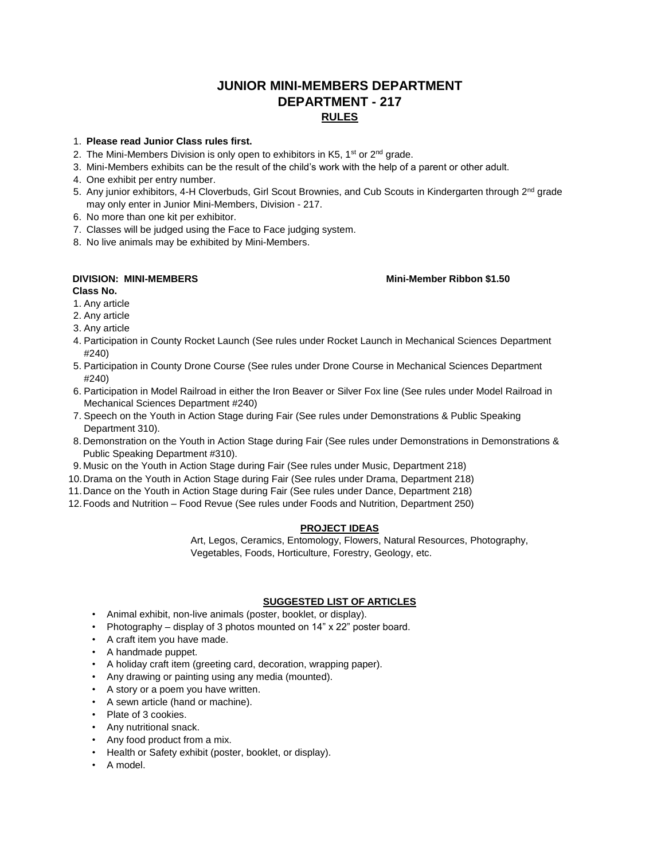# **JUNIOR MINI-MEMBERS DEPARTMENT DEPARTMENT - 217 RULES**

### 1. **Please read Junior Class rules first.**

- 2. The Mini-Members Division is only open to exhibitors in K5,  $1<sup>st</sup>$  or  $2<sup>nd</sup>$  grade.
- 3. Mini-Members exhibits can be the result of the child's work with the help of a parent or other adult.
- 4. One exhibit per entry number.
- 5. Any junior exhibitors, 4-H Cloverbuds, Girl Scout Brownies, and Cub Scouts in Kindergarten through 2<sup>nd</sup> grade may only enter in Junior Mini-Members, Division - 217.
- 6. No more than one kit per exhibitor.
- 7. Classes will be judged using the Face to Face judging system.
- 8. No live animals may be exhibited by Mini-Members.

# **DIVISION: MINI-MEMBERS Mini-Member Ribbon \$1.50**

# **Class No.**

- 1. Any article
- 2. Any article
- 3. Any article
- 4. Participation in County Rocket Launch (See rules under Rocket Launch in Mechanical Sciences Department #240)
- 5. Participation in County Drone Course (See rules under Drone Course in Mechanical Sciences Department #240)
- 6. Participation in Model Railroad in either the Iron Beaver or Silver Fox line (See rules under Model Railroad in Mechanical Sciences Department #240)
- 7. Speech on the Youth in Action Stage during Fair (See rules under Demonstrations & Public Speaking Department 310).
- 8. Demonstration on the Youth in Action Stage during Fair (See rules under Demonstrations in Demonstrations & Public Speaking Department #310).
- 9. Music on the Youth in Action Stage during Fair (See rules under Music, Department 218)
- 10.Drama on the Youth in Action Stage during Fair (See rules under Drama, Department 218)
- 11.Dance on the Youth in Action Stage during Fair (See rules under Dance, Department 218)
- 12.Foods and Nutrition Food Revue (See rules under Foods and Nutrition, Department 250)

# **PROJECT IDEAS**

Art, Legos, Ceramics, Entomology, Flowers, Natural Resources, Photography, Vegetables, Foods, Horticulture, Forestry, Geology, etc.

### **SUGGESTED LIST OF ARTICLES**

- Animal exhibit, non-live animals (poster, booklet, or display).
- Photography display of 3 photos mounted on 14" x 22" poster board.
- A craft item you have made.
- A handmade puppet.
- A holiday craft item (greeting card, decoration, wrapping paper).
- Any drawing or painting using any media (mounted).
- A story or a poem you have written.
- A sewn article (hand or machine).
- Plate of 3 cookies.
- Any nutritional snack.
- Any food product from a mix.
- Health or Safety exhibit (poster, booklet, or display).
- A model.